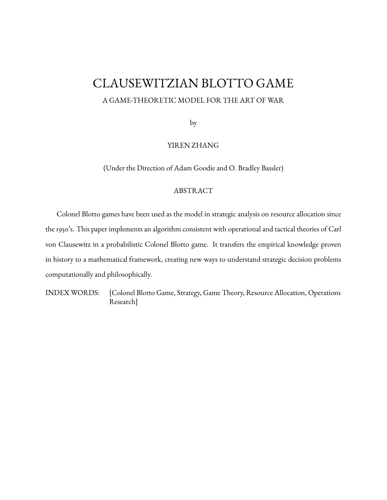## CLAUSEWITZIAN BLOTTO GAME

### A GAME-THEORETIC MODEL FOR THE ART OF WAR

by

## YIREN ZHANG

(Under the Direction of Adam Goodie and O. Bradley Bassler)

#### ABSTRACT

Colonel Blotto games have been used as the model in strategic analysis on resource allocation since the 1950's. This paper implements an algorithm consistent with operational and tactical theories of Carl von Clausewitz in a probabilistic Colonel Blotto game. It transfers the empirical knowledge proven in history to a mathematical framework, creating new ways to understand strategic decision problems computationally and philosophically.

INDEX WORDS: [Colonel Blotto Game, Strategy, Game Theory, Resource Allocation, Operations Research]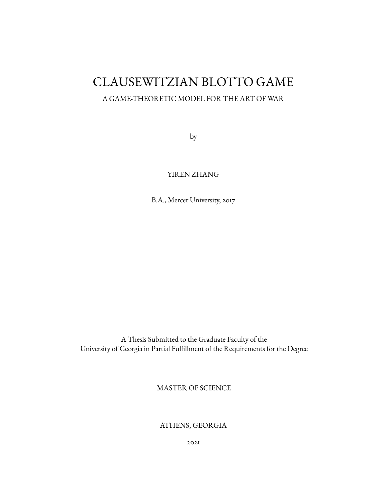# CLAUSEWITZIAN BLOTTO GAME

## A GAME-THEORETIC MODEL FOR THE ART OF WAR

by

## YIREN ZHANG

B.A., Mercer University, 2017

A Thesis Submitted to the Graduate Faculty of the University of Georgia in Partial Fulllment of the Requirements for the Degree

MASTER OF SCIENCE

ATHENS, GEORGIA

2021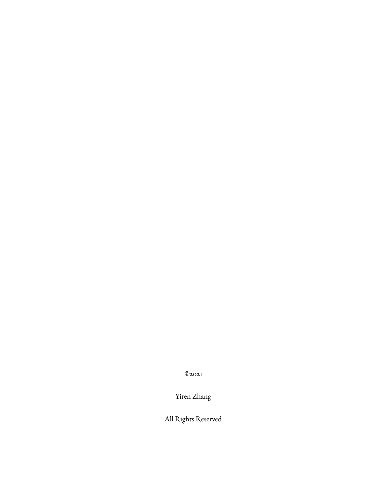©2021

Yiren Zhang

All Rights Reserved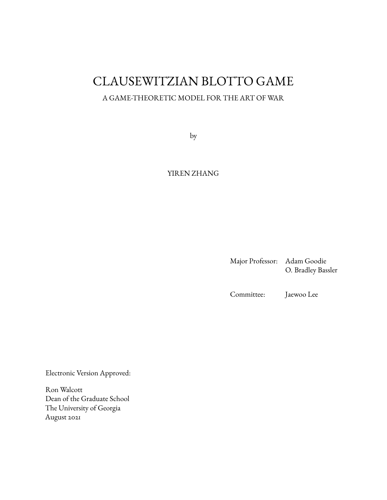## CLAUSEWITZIAN BLOTTO GAME

## A GAME-THEORETIC MODEL FOR THE ART OF WAR

by

## YIREN ZHANG

Major Professor: Adam Goodie O. Bradley Bassler

Committee: Jaewoo Lee

Electronic Version Approved:

Ron Walcott Dean of the Graduate School The University of Georgia August 2021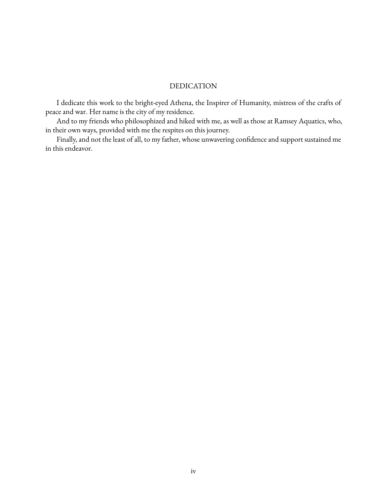#### DEDICATION

I dedicate this work to the bright-eyed Athena, the Inspirer of Humanity, mistress of the crafts of peace and war. Her name is the city of my residence.

And to my friends who philosophized and hiked with me, as well as those at Ramsey Aquatics, who, in their own ways, provided with me the respites on this journey.

Finally, and not the least of all, to my father, whose unwavering confidence and support sustained me in this endeavor.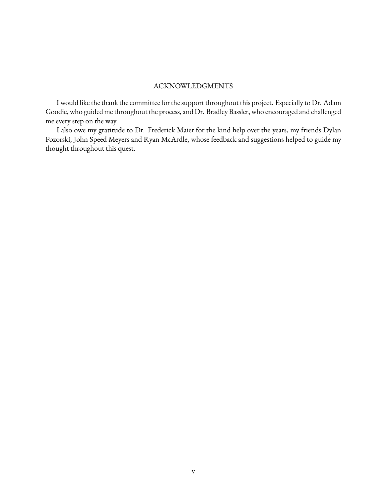### ACKNOWLEDGMENTS

<span id="page-5-0"></span>I would like the thank the committee for the support throughout this project. Especially to Dr. Adam Goodie, who guided me throughout the process, and Dr. Bradley Bassler, who encouraged and challenged me every step on the way.

I also owe my gratitude to Dr. Frederick Maier for the kind help over the years, my friends Dylan Pozorski, John Speed Meyers and Ryan McArdle, whose feedback and suggestions helped to guide my thought throughout this quest.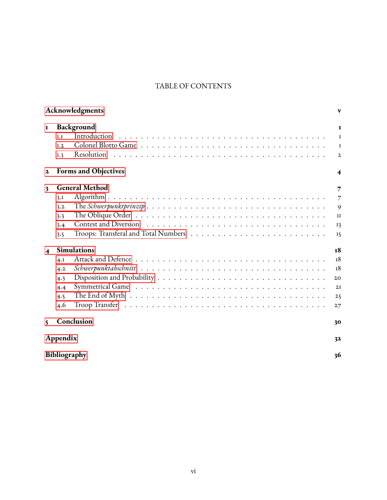## TABLE OF CONTENTS

|                         |              | Acknowledgments                                                                                             | $\mathbf{v}$           |
|-------------------------|--------------|-------------------------------------------------------------------------------------------------------------|------------------------|
| $\mathbf I$             |              | Background                                                                                                  | $\mathbf{I}$           |
|                         | I.I          | Introduction                                                                                                | $\mathbf I$            |
|                         | I.2          |                                                                                                             | $\mathbf I$            |
|                         | I.3          | Resolution                                                                                                  | $\mathbf{2}$           |
| $\mathbf{z}$            |              | <b>Forms and Objectives</b>                                                                                 | $\boldsymbol{4}$       |
| 3                       |              | <b>General Method</b>                                                                                       | 7                      |
|                         | 3.1          |                                                                                                             | $\overline{7}$         |
|                         | 3.2          |                                                                                                             | 9                      |
|                         | 3.3          | The Oblique Order $\dots \dots \dots \dots \dots \dots \dots \dots \dots \dots \dots \dots \dots \dots$     | $_{\rm II}$            |
|                         | 3.4          |                                                                                                             | 13                     |
|                         | 3.5          |                                                                                                             | $\mathbf{I}\mathbf{S}$ |
| $\overline{\mathbf{4}}$ |              | <b>Simulations</b>                                                                                          | <b>18</b>              |
|                         | 4.I          |                                                                                                             | 18                     |
|                         | 4.2          |                                                                                                             | 18                     |
|                         | 4.3          |                                                                                                             | 20                     |
|                         | 4.4          |                                                                                                             | 2I                     |
|                         | 4.5          | The End of Myth $\dots \dots \dots \dots \dots \dots \dots \dots \dots \dots \dots \dots \dots \dots \dots$ | 25                     |
|                         | 4.6          |                                                                                                             | 27                     |
| $\mathsf{S}$            |              | Conclusion                                                                                                  | 30                     |
|                         | Appendix     |                                                                                                             | 32                     |
|                         | Bibliography |                                                                                                             | 36                     |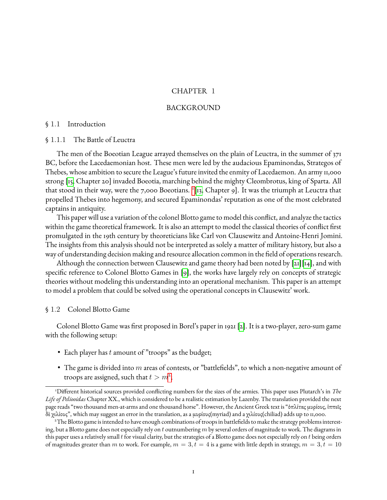#### CHAPTER 1

#### BACKGROUND

#### <span id="page-7-1"></span><span id="page-7-0"></span>§ 1.1 Introduction

#### § 1.1.1 The Battle of Leuctra

The men of the Boeotian League arrayed themselves on the plain of Leuctra, in the summer of 371 BC, before the Lacedaemonian host. These men were led by the audacious Epaminondas, Strategos of Thebes, whose ambition to secure the League's future invited the enmity of Lacedaemon. An army 11,000 strong [\[15,](#page-43-0) Chapter 20] invaded Boeotia, marching behind the mighty Cleombrotus, king of Sparta. All that stood in their way, were the 7,000 Boeotians. <sup>1</sup> [\[13,](#page-42-0) Chapter 9]. It was the triumph at Leuctra that propelled Thebes into hegemony, and secured Ep[am](#page-7-3)inondas' reputation as one of the most celebrated captains in antiquity.

This paper will use a variation of the colonel Blotto game to model this conflict, and analyze the tactics within the game theoretical framework. It is also an attempt to model the classical theories of conflict first promulgated in the 19th century by theoreticians like Carl von Clausewitz and Antoine-Henri Jomini. The insights from this analysis should not be interpreted as solely a matter of military history, but also a way of understanding decision making and resource allocation common in the field of operations research.

Although the connection between Clausewitz and game theory had been noted by [\[21\]](#page-43-1)[\[14\]](#page-43-2), and with specific reference to Colonel Blotto Games in  $[g]$ , the works have largely rely on concepts of strategic theories without modeling this understanding into an operational mechanism. This paper is an attempt to model a problem that could be solved using the operational concepts in Clausewitz' work.

#### <span id="page-7-2"></span>§ 1.2 Colonel Blotto Game

Colonel Blotto Game was first proposed in Borel's paper in 1921 [\[2\]](#page-42-2). It is a two-player, zero-sum game with the following setup:

- Each player has t amount of "troops" as the budget;
- The game is divided into  $m$  areas of contests, or "battlefields", to which a non-negative amount of troops are assigned, such that  $t > m^2$  $t > m^2$ ;

<span id="page-7-3"></span><sup>&</sup>lt;sup>1</sup>Different historical sources provided conflicting numbers for the sizes of the armies. This paper uses Plutarch's in *The Life of Peliooidas* Chapter XX., which is considered to be a realistic estimation by Lazenby. The translation provided the next page reads "two thousand men-at-arms and one thousand horse". However, the Ancient Greek text is "ὁπλίτας µυρίους, ἱππεῖς δὲ χιλίους", which may suggest an error in the translation, as a µυρίους(myriad) and a χιλίους(chiliad) adds up to 11,000.

<span id="page-7-4"></span><sup>&</sup>lt;sup>2</sup>The Blotto game is intended to have enough combinations of troops in battlefields to make the strategy problems interesting, but a Blotto game does not especially rely on t outnumbering m by several orders of magnitude to work. The diagrams in this paper uses a relatively small  $t$  for visual clarity, but the strategies of a Blotto game does not especially rely on  $t$  being orders of magnitudes greater than m to work. For example,  $m = 3, t = 4$  is a game with little depth in strategy,  $m = 3, t = 10$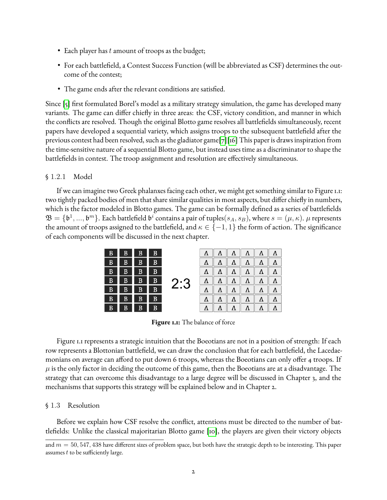- Each player has  $t$  amount of troops as the budget;
- For each battlefield, a Contest Success Function (will be abbreviated as CSF) determines the outcome of the contest;
- The game ends after the relevant conditions are satisfied.

Since [\[5\]](#page-42-3) first formulated Borel's model as a military strategy simulation, the game has developed many variants. The game can differ chiefly in three areas: the CSF, victory condition, and manner in which the conflicts are resolved. Though the original Blotto game resolves all battlefields simultaneously, recent papers have developed a sequential variety, which assigns troops to the subsequent battlefield after the previous contest had been resolved, such as the gladiator game[\[7\]](#page-42-4)[\[16\]](#page-43-3) This paper is draws inspiration from the time-sensitive nature of a sequential Blotto game, but instead uses time as a discriminator to shape the battlefields in contest. The troop assignment and resolution are effectively simultaneous.

#### § 1.2.1 Model

If we can imagine two Greek phalanxes facing each other, we might get something similar to Figure 1.1: two tightly packed bodies of men that share similar qualities in most aspects, but differ chiefly in numbers, which is the factor modeled in Blotto games. The game can be formally defined as a series of battlefields  $\mathfrak{B}=\{\mathfrak{b}^1,...,\mathfrak{b}^m\}.$  Each battlefield  $\mathfrak{b}^i$  contains a pair of tuples $(s_A,s_B),$  where  $s=(\mu,\kappa).$   $\mu$  represents the amount of troops assigned to the battlefield, and  $\kappa \in \{-1,1\}$  the form of action. The significance of each components will be discussed in the next chapter.



**Figure 1.1:** The balance of force

Figure 1.1 represents a strategic intuition that the Boeotians are not in a position of strength: If each row represents a Blottonian battlefield, we can draw the conclusion that for each battlefield, the Lacedaemonians on average can afford to put down 6 troops, whereas the Boeotians can only offer 4 troops. If  $\mu$  is the only factor in deciding the outcome of this game, then the Boeotians are at a disadvantage. The strategy that can overcome this disadvantage to a large degree will be discussed in Chapter 3, and the mechanisms that supports this strategy will be explained below and in Chapter 2.

#### <span id="page-8-0"></span>§ 1.3 Resolution

Before we explain how CSF resolve the conflict, attentions must be directed to the number of bat-tlefields: Unlike the classical majoritarian Blotto game [\[10\]](#page-42-5), the players are given their victory objects

and  $m = 50, 547, 438$  have different sizes of problem space, but both have the strategic depth to be interesting. This paper assumes  $t$  to be sufficiently large.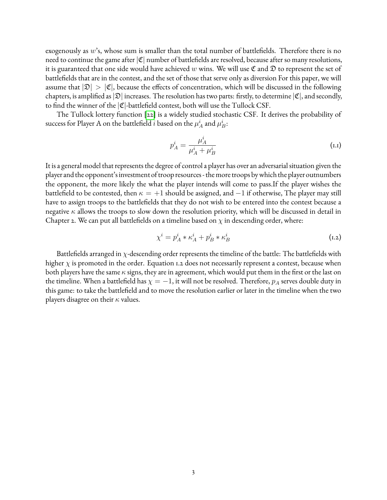exogenously as  $w$ 's, whose sum is smaller than the total number of battlefields. Therefore there is no need to continue the game after  $|\mathfrak{C}|$  number of battlefields are resolved, because after so many resolutions, it is guaranteed that one side would have achieved w wins. We will use  $\mathfrak C$  and  $\mathfrak D$  to represent the set of battlefields that are in the contest, and the set of those that serve only as diversion For this paper, we will assume that  $|\mathfrak{D}| > |\mathfrak{C}|$ , because the effects of concentration, which will be discussed in the following chapters, is amplified as  $|\mathfrak{D}|$  increases. The resolution has two parts: firstly, to determine  $|\mathfrak{C}|$ , and secondly, to find the winner of the  $|\mathfrak{C}|$ -battlefield contest, both will use the Tullock CSF.

The Tullock lottery function [\[22\]](#page-43-4) is a widely studied stochastic CSF. It derives the probability of success for Player A on the battlefield  $i$  based on the  $\mu_A^i$  and  $\mu_B^i$ :

$$
p_A^i = \frac{\mu_A^i}{\mu_A^i + \mu_B^i}
$$
 (1.1)

It is a general model that represents the degree of control a player has over an adversarial situation given the player and the opponent's investment of troop resources - the more troops bywhich the playeroutnumbers the opponent, the more likely the what the player intends will come to pass.If the player wishes the battlefield to be contested, then  $\kappa = +1$  should be assigned, and  $-1$  if otherwise, The player may still have to assign troops to the battlefields that they do not wish to be entered into the contest because a negative  $\kappa$  allows the troops to slow down the resolution priority, which will be discussed in detail in Chapter 2. We can put all battlefields on a timeline based on  $\chi$  in descending order, where:

$$
\chi^i = p_A^i * \kappa_A^i + p_B^i * \kappa_B^i \tag{1.2}
$$

Battlefields arranged in  $\chi$ -descending order represents the timeline of the battle: The battlefields with higher  $\chi$  is promoted in the order. Equation 1.2 does not necessarily represent a contest, because when both players have the same  $\kappa$  signs, they are in agreement, which would put them in the first or the last on the timeline. When a battlefield has  $\chi = -1$ , it will not be resolved. Therefore,  $p_A$  serves double duty in this game: to take the battlefield and to move the resolution earlier or later in the timeline when the two players disagree on their  $\kappa$  values.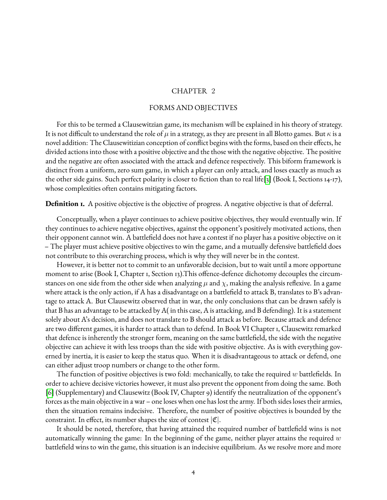#### CHAPTER 2

#### FORMS AND OBJECTIVES

<span id="page-10-0"></span>For this to be termed a Clausewitzian game, its mechanism will be explained in his theory of strategy. It is not difficult to understand the role of  $\mu$  in a strategy, as they are present in all Blotto games. But  $\kappa$  is a novel addition: The Clausewitizian conception of conflict begins with the forms, based on their effects, he divided actions into those with a positive objective and the those with the negative objective. The positive and the negative are often associated with the attack and defence respectively. This biform framework is distinct from a uniform, zero sum game, in which a player can only attack, and loses exactly as much as the other side gains. Such perfect polarity is closer to fiction than to real life[\[3\]](#page-42-6) (Book I, Sections 14-17), whose complexities often contains mitigating factors.

**Definition 1.** A positive objective is the objective of progress. A negative objective is that of deferral.

Conceptually, when a player continues to achieve positive objectives, they would eventually win. If they continues to achieve negative objectives, against the opponent's positively motivated actions, then their opponent cannot win. A battlefield does not have a contest if no player has a positive objective on it – The player must achieve positive objectives to win the game, and a mutually defensive battlefield does not contribute to this overarching process, which is why they will never be in the contest.

However, it is better not to commit to an unfavorable decision, but to wait until a more opportune moment to arise (Book I, Chapter 1, Section 13). This offence-defence dichotomy decouples the circumstances on one side from the other side when analyzing  $\mu$  and  $\chi$ , making the analysis reflexive. In a game where attack is the only action, if A has a disadvantage on a battlefield to attack B, translates to B's advantage to attack A. But Clausewitz observed that in war, the only conclusions that can be drawn safely is that B has an advantage to be attacked by A( in this case, A is attacking, and B defending). It is a statement solely about A's decision, and does not translate to B should attack as before. Because attack and defence are two different games, it is harder to attack than to defend. In Book VI Chapter 1, Clausewitz remarked that defence is inherently the stronger form, meaning on the same battlefield, the side with the negative objective can achieve it with less troops than the side with positive objective. As is with everything governed by inertia, it is easier to keep the status quo. When it is disadvantageous to attack or defend, one can either adjust troop numbers or change to the other form.

The function of positive objectives is two fold: mechanically, to take the required  $w$  battlefields. In order to achieve decisive victories however, it must also prevent the opponent from doing the same. Both [\[6\]](#page-42-7) (Supplementary) and Clausewitz (Book IV, Chapter 9) identify the neutralization of the opponent's forces as the main objective in a war – one loses when one has lost the army. If both sides loses their armies, then the situation remains indecisive. Therefore, the number of positive objectives is bounded by the constraint. In effect, its number shapes the size of contest  $|\mathfrak{C}|$ .

It should be noted, therefore, that having attained the required number of battlefield wins is not automatically winning the game: In the beginning of the game, neither player attains the required  $w$ battlefield wins to win the game, this situation is an indecisive equilibrium. As we resolve more and more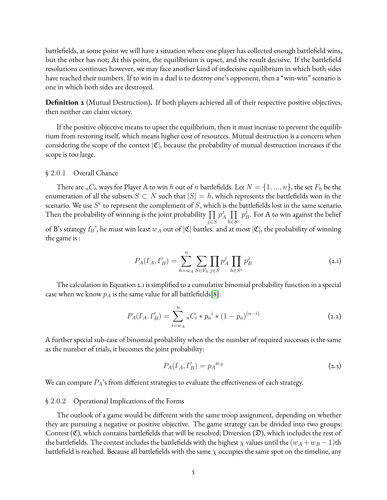battlefields, at some point we will have a situation where one player has collected enough battlefield wins, but the other has not; At this point, the equilibrium is upset, and the result decisive. If the battlefield resolutions continues however, we may face another kind of indecisive equilibrium in which both sides have reached their numbers. If to win in a duel is to destroy one's opponent, then a "win-win" scenario is one in which both sides are destroyed.

**Definition 2** (Mutual Destruction). If both players achieved all of their respective positive objectives, then neither can claim victory.

If the positive objective means to upset the equilibrium, then it must increase to prevent the equilibrium from restoring itself, which means higher cost of resources. Mutual destruction is a concern when considering the scope of the contest  $|\mathfrak{C}|$ , because the probability of mutual destruction increases if the scope is too large.

#### § 2.0.1 Overall Chance

There are  ${_{n}}C_{h}$  ways for Player A to win  $h$  out of  $n$  battlefields. Let  $N = \{1,...,n\},$  the set  $F_{h}$  be the enumeration of all the subsets  $S \subset N$  such that  $|S| = h$ , which represents the battlefields won in the scenario. We use  $S^c$  to represent the complement of  $S,$  which is the battlefields lost in the same scenario. Then the probability of winning is the joint probability  $\prod p^j$ j∈S  $j_A^j$   $\prod$   $p_I^j$  $h\in S$  $_B^j$ . For A to win against the belief of B's strategy  $f_B$ ', he must win least  $w_A$  out of  $|\mathfrak{C}|$  battles. and at most  $|\mathfrak{C}|$ , the probability of winning the game is :

$$
P_A(f_A, f'_B) = \sum_{h=w_A}^{n} \sum_{S \in F_h} \prod_{j \in S} p_A^j \prod_{h \in S^c} p_B^j
$$
 (2.1)

The calculation in Equation 2.1 is simplified to a cumulative binomial probability function in a special case when we know  $p_A$  is the same value for all battlefields[\[8\]](#page-42-8):

$$
P_A(f_A, f'_B) = \sum_{i=w_A}^{n} {}_{n}C_i * p_a{}^{i} * (1 - p_a)^{(n-i)} \tag{2.2}
$$

A further special sub-case of binomial probability when the the number of required successes is the same as the number of trials, it becomes the joint probability:

$$
P_A(f_A, f'_B) = p_A^{w_A} \tag{2.3}
$$

We can compare  $P_A$ 's from different strategies to evaluate the effectiveness of each strategy.

#### § 2.0.2 Operational Implications of the Forms

The outlook of a game would be different with the same troop assignment, depending on whether they are pursuing a negative or positive objective. The game strategy can be divided into two groups: Contest (C), which contains battlefields that will be resolved; Diversion ( $\mathfrak{D}$ ), which includes the rest of the battlefields. The contest includes the battlefields with the highest  $\chi$  values until the  $(w_A + w_B - 1)$ th battlefield is reached. Because all battlefields with the same  $\chi$  occupies the same spot on the timeline, any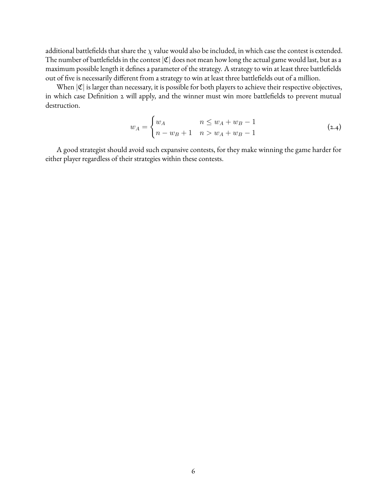additional battlefields that share the  $\chi$  value would also be included, in which case the contest is extended. The number of battlefields in the contest  $|\mathfrak{C}|$  does not mean how long the actual game would last, but as a maximum possible length it defines a parameter of the strategy. A strategy to win at least three battlefields out of five is necessarily different from a strategy to win at least three battlefields out of a million.

When  $|\mathfrak{C}|$  is larger than necessary, it is possible for both players to achieve their respective objectives, in which case Definition 2 will apply, and the winner must win more battlefields to prevent mutual destruction.

$$
w_A = \begin{cases} w_A & n \le w_A + w_B - 1 \\ n - w_B + 1 & n > w_A + w_B - 1 \end{cases}
$$
 (2.4)

A good strategist should avoid such expansive contests, for they make winning the game harder for either player regardless of their strategies within these contests.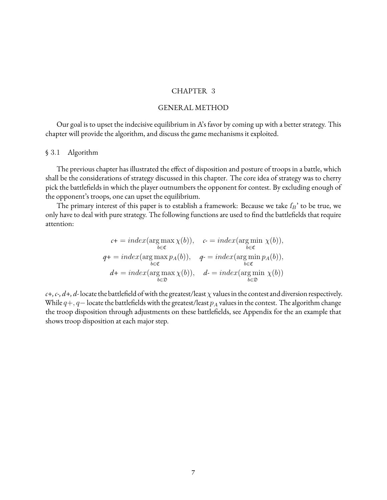#### CHAPTER 3

#### GENERAL METHOD

<span id="page-13-0"></span>Our goal is to upset the indecisive equilibrium in A's favor by coming up with a better strategy. This chapter will provide the algorithm, and discuss the game mechanisms it exploited.

#### <span id="page-13-1"></span>§ 3.1 Algorithm

The previous chapter has illustrated the effect of disposition and posture of troops in a battle, which shall be the considerations of strategy discussed in this chapter. The core idea of strategy was to cherry pick the battlefields in which the player outnumbers the opponent for contest. By excluding enough of the opponent's troops, one can upset the equilibrium.

The primary interest of this paper is to establish a framework: Because we take  $f_B$ ' to be true, we only have to deal with pure strategy. The following functions are used to find the battlefields that require attention:

$$
c+ = index(\arg \max_{b \in \mathfrak{C}} \chi(b)), \quad c- = index(\arg \min_{b \in \mathfrak{C}} \chi(b)),
$$
  
\n
$$
q+ = index(\arg \max_{b \in \mathfrak{C}} p_A(b)), \quad q- = index(\arg \min_{b \in \mathfrak{C}} p_A(b)),
$$
  
\n
$$
d+ = index(\arg \max_{b \in \mathfrak{D}} \chi(b)), \quad d- = index(\arg \min_{b \in \mathfrak{D}} \chi(b))
$$

 $c+, c-, d+, d$ -locate the battlefield of with the greatest/least  $\chi$  values in the contest and diversion respectively. While  $q+$ ,  $q-$  locate the battlefields with the greatest/least  $p_A$  values in the contest. The algorithm change the troop disposition through adjustments on these battlefields, see Appendix for the an example that shows troop disposition at each major step.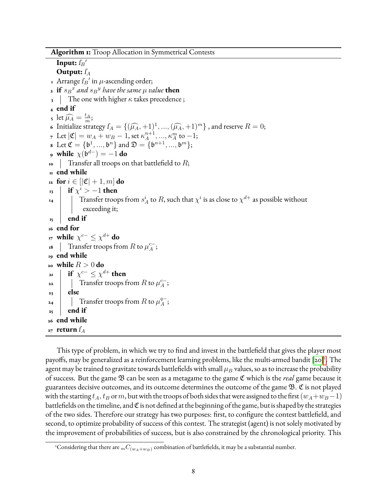**Algorithm 1:** Troop Allocation in Symmetrical Contests

```
Input: f_B'Output: f_A1 Arrange f_B' in \mu-ascending order;
 \mathbf{a} if s_B^x and s_B^y have the same \mu value \mathbf{then}3 The one with higher \kappa takes precedence;
 4 end if
  5 let \widehat{\mu}_A = \frac{t_A}{m}\frac{t_A}{m};
 6 Initialize strategy f_A = \{(\widehat{\mu}_A, +1)^1, ..., (\widehat{\mu}_A, +1)^m\}, and reserve R = 0;
 7 Let |\mathfrak{C}| = w_A + w_B - 1, set \kappa_A^{n+1}\kappa_A^{n+1}, ..., \kappa_A^m to -1;8 Let \mathfrak{C} = {\mathfrak{b}^1, ..., \mathfrak{b}^n} and \mathfrak{D} = {\mathfrak{b}^{n+1}, ..., \mathfrak{b}^m};
 9 while \chi(\mathfrak{b}^{d-}) = -1 do
\mathbf{I} Transfer all troops on that battlefield to R;
11 end while
\mathbf{r_1} \text{ for } i \in [\mathfrak{C}]+1, m] \text{ do}\mathbf{f}if \chi^i > -1 then
 \mathbf{1}_{\mathbf{14}} \parallel \parallel Transfer troops from s_A^i to R, such that \chi^i is as close to \chi^{d+} as possible without
                  exceeding it;
\mathbf{r}_5 end if
16 end for
17 while \chi^{c-} \leq \chi^{d+} do
 \mathbf{r}8 \parallel Transfer troops from R to \mu_A^{c-1}\frac{c-}{A};
19 end while
_{20} while R > 0 do
 \mathbf{r} if \chi^{c-} \leq \chi^{d+} then
22 \blacksquare Transfer troops from R to \mu_A^{c-1}\frac{c-}{A};
23 else
24 \blacksquare Transfer troops from R to \mu^{q-1}_A_{A}^{q-};
25 \mid \text{end if}26 end while
_{27} return I_A
```
This type of problem, in which we try to find and invest in the battlefield that gives the player most payoffs, may be generalized as a reinforcement learning problems, like the multi-armed bandit [\[20\]](#page-43-5)<sup>1</sup>[.](#page-14-0) The agent may be trained to gravitate towards battlefields with small  $\mu_B$  values, so as to increase the probability of success. But the game B can be seen as a metagame to the game C which is the *real* game because it guarantees decisive outcomes, and its outcome determines the outcome of the game B. C is not played with the starting  $t_A$ ,  $t_B$  orm, but with the troops of both sides that were assigned to the first ( $w_A+w_B-1$ ) battlefields on the timeline, and  $\mathfrak C$  is not defined at the beginning of the game, but is shaped by the strategies of the two sides. Therefore our strategy has two purposes: first, to configure the contest battlefield, and second, to optimize probability of success of this contest. The strategist (agent) is not solely motivated by the improvement of probabilities of success, but is also constrained by the chronological priority. This

<span id="page-14-0"></span><sup>&</sup>lt;sup>1</sup>Considering that there are  ${}_{m}C_{(w_{A}+w_{B})}$  combination of battlefields, it may be a substantial number.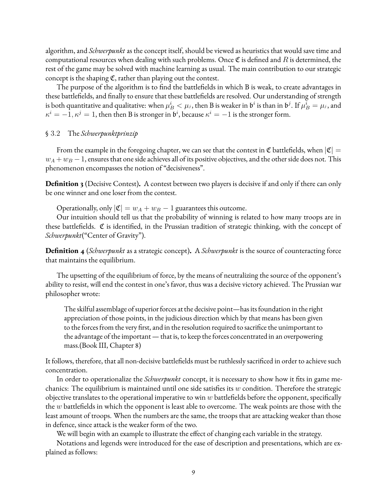algorithm, and *Schwerpunkt* as the concept itself, should be viewed as heuristics that would save time and computational resources when dealing with such problems. Once  $\mathfrak C$  is defined and R is determined, the rest of the game may be solved with machine learning as usual. The main contribution to our strategic concept is the shaping  $\mathfrak{C}$ , rather than playing out the contest.

The purpose of the algorithm is to find the battlefields in which B is weak, to create advantages in these battlefields, and finally to ensure that these battlefields are resolved. Our understanding of strength is both quantitative and qualitative: when  $\mu_B^i<\mu_j,$  then B is weaker in  $\mathfrak{b}^i$  is than in  $\mathfrak{b}^j.$  If  $\mu_B^i=\mu_j,$  and  $\kappa^i = -1, \kappa^j = 1$ , then then B is stronger in  $\mathfrak{b}^i$ , because  $\kappa^i = -1$  is the stronger form.

#### <span id="page-15-0"></span>§ 3.2 The *Schwerpunktprinzip*

From the example in the foregoing chapter, we can see that the contest in  $\mathfrak C$  battlefields, when  $|\mathfrak C|=$  $w_A + w_B - 1$ , ensures that one side achieves all of its positive objectives, and the other side does not. This phenomenon encompasses the notion of "decisiveness".

**Definition 3** (Decisive Contest). A contest between two players is decisive if and only if there can only be one winner and one loser from the contest.

Operationally, only  $|\mathfrak{C}| = w_A + w_B - 1$  guarantees this outcome.

Our intuition should tell us that the probability of winning is related to how many troops are in these battlefields.  $C$  is identified, in the Prussian tradition of strategic thinking, with the concept of *Schwerpunkt*("Center of Gravity").

**Definition 4** (*Schwerpunkt* as a strategic concept). A *Schwerpunkt* is the source of counteracting force that maintains the equilibrium.

The upsetting of the equilibrium of force, by the means of neutralizing the source of the opponent's ability to resist, will end the contest in one's favor, thus was a decisive victory achieved. The Prussian war philosopher wrote:

The skilful assemblage of superior forces at the decisive point—has its foundation in the right appreciation of those points, in the judicious direction which by that means has been given to the forces from the very first, and in the resolution required to sacrifice the unimportant to the advantage of the important— that is, to keep the forces concentrated in an overpowering mass.(Book III, Chapter 8)

It follows, therefore, that all non-decisive battlefields must be ruthlessly sacrificed in order to achieve such concentration.

In order to operationalize the *Schwerpunkt* concept, it is necessary to show how it fits in game mechanics: The equilibrium is maintained until one side satisfies its  $w$  condition. Therefore the strategic objective translates to the operational imperative to win  $w$  battlefields before the opponent, specifically the  $w$  battlefields in which the opponent is least able to overcome. The weak points are those with the least amount of troops. When the numbers are the same, the troops that are attacking weaker than those in defence, since attack is the weaker form of the two.

We will begin with an example to illustrate the effect of changing each variable in the strategy.

Notations and legends were introduced for the ease of description and presentations, which are explained as follows: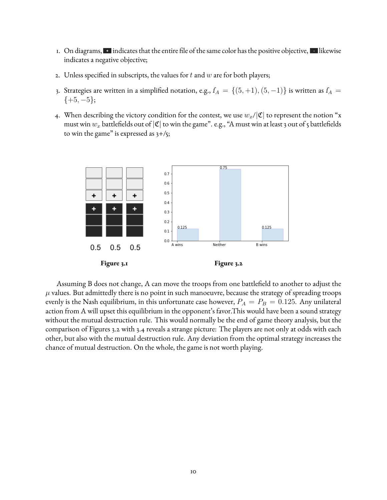- 1. On diagrams,  $\blacksquare$  indicates that the entire file of the same color has the positive objective,  $\blacksquare$  likewise indicates a negative objective;
- 2. Unless specified in subscripts, the values for  $t$  and  $w$  are for both players;
- 3. Strategies are written in a simplified notation, e.g.,  $I_A = \{(5, +1), (5, -1)\}$  is written as  $I_A =$  $\{+5, -5\};$
- 4. When describing the victory condition for the contest, we use  $w_x/|\mathfrak{C}|$  to represent the notion "x must win  $w_x$  battlefields out of  $|\mathfrak{C}|$  to win the game". e.g., "A must win at least 3 out of 5 battlefields to win the game" is expressed as  $3+/5$ ;



Assuming B does not change, A can move the troops from one battlefield to another to adjust the  $\mu$  values. But admittedly there is no point in such manoeuvre, because the strategy of spreading troops evenly is the Nash equilibrium, in this unfortunate case however,  $P_A = P_B = 0.125$ . Any unilateral action from A will upset this equilibrium in the opponent's favor.This would have been a sound strategy without the mutual destruction rule. This would normally be the end of game theory analysis, but the comparison of Figures 3.2 with 3.4 reveals a strange picture: The players are not only at odds with each other, but also with the mutual destruction rule. Any deviation from the optimal strategy increases the chance of mutual destruction. On the whole, the game is not worth playing.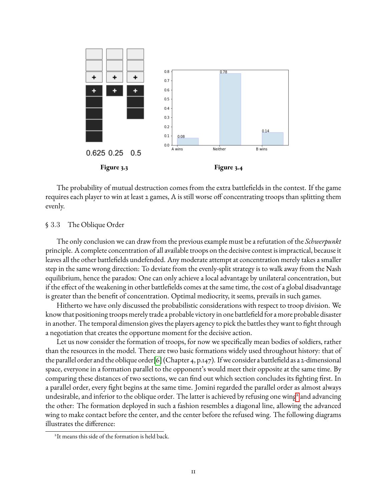

The probability of mutual destruction comes from the extra battlefields in the contest. If the game requires each player to win at least 2 games, A is still worse off concentrating troops than splitting them evenly.

#### <span id="page-17-0"></span>§ 3.3 The Oblique Order

The only conclusion we can draw from the previous example must be a refutation of the *Schwerpunkt* principle. A complete concentration of all available troops on the decisive contest is impractical, because it leaves all the other battlefields undefended. Any moderate attempt at concentration merely takes a smaller step in the same wrong direction: To deviate from the evenly-split strategy is to walk away from the Nash equilibrium, hence the paradox: One can only achieve a local advantage by unilateral concentration, but if the effect of the weakening in other battlefields comes at the same time, the cost of a global disadvantage is greater than the benefit of concentration. Optimal mediocrity, it seems, prevails in such games.

Hitherto we have only discussed the probabilistic considerations with respect to troop division. We know that positioning troops merely trade a probable victory in one battlefield for a more probable disaster in another. The temporal dimension gives the players agency to pick the battles they want to fight through a negotiation that creates the opportune moment for the decisive action.

Let us now consider the formation of troops, for now we specifically mean bodies of soldiers, rather than the resources in the model. There are two basic formations widely used throughout history: that of the parallel order and the oblique order[\[6\]](#page-42-7) (Chapter 4, p.147). If we consider a battlefield as a 2-dimensional space, everyone in a formation parallel to the opponent's would meet their opposite at the same time. By comparing these distances of two sections, we can find out which section concludes its fighting first. In a parallel order, every fight begins at the same time. Jomini regarded the parallel order as almost always undesirable, and inferior to the oblique order. The latter is achieved by refusing one wing<sup>[2](#page-17-1)</sup> and advancing the other: The formation deployed in such a fashion resembles a diagonal line, allowing the advanced wing to make contact before the center, and the center before the refused wing. The following diagrams illustrates the difference:

<span id="page-17-1"></span><sup>2</sup> It means this side of the formation is held back.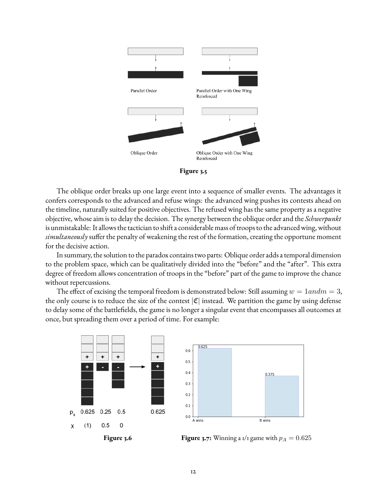



The oblique order breaks up one large event into a sequence of smaller events. The advantages it confers corresponds to the advanced and refuse wings: the advanced wing pushes its contests ahead on the timeline, naturally suited for positive objectives. The refused wing has the same property as a negative objective, whose aim is to delay the decision. The synergy between the oblique order and the *Schwerpunkt* is unmistakable: It allows the tactician to shift a considerable mass of troops to the advanced wing, without *simultaneously* suffer the penalty of weakening the rest of the formation, creating the opportune moment for the decisive action.

In summary, the solution to the paradox contains two parts: Oblique order adds a temporal dimension to the problem space, which can be qualitatively divided into the "before" and the "after". This extra degree of freedom allows concentration of troops in the "before" part of the game to improve the chance without repercussions.

The effect of excising the temporal freedom is demonstrated below: Still assuming  $w = 1$  and  $m = 3$ , the only course is to reduce the size of the contest  $|\mathfrak{C}|$  instead. We partition the game by using defense to delay some of the battlefields, the game is no longer a singular event that encompasses all outcomes at once, but spreading them over a period of time. For example:





**Figure 3.6 Figure 3.7:** Winning a 1/1 game with  $p_A = 0.625$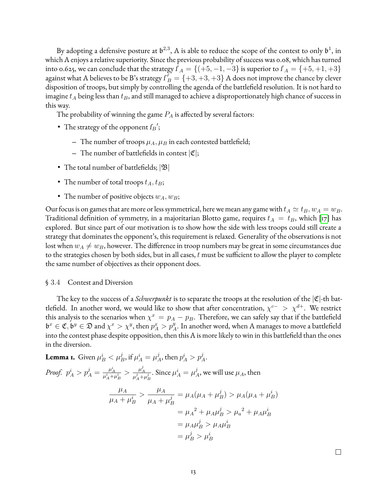By adopting a defensive posture at  $\mathfrak{b}^{2,3}$ , A is able to reduce the scope of the contest to only  $\mathfrak{b}^1$ , in which A enjoys a relative superiority. Since the previous probability of success was 0.08, which has turned into 0.625, we can conclude that the strategy  $I_A = \{(+5, -1, -3\}$  is superior to  $I_A = \{+5, +1, +3\}$ against what A believes to be B's strategy  $I_B^{\prime} = \{+3, +3, +3\}$  A does not improve the chance by clever disposition of troops, but simply by controlling the agenda of the battlefield resolution. It is not hard to imagine  $t_A$  being less than  $t_B$ , and still managed to achieve a disproportionately high chance of success in this way.

The probability of winning the game  $P_A$  is affected by several factors:

- The strategy of the opponent  $f_B$ ';
	- $-$  The number of troops  $\mu_A$ ,  $\mu_B$  in each contested battlefield;
	- $-$  The number of battlefields in contest  $|\mathfrak{C}|$ ;
- The total number of battlefields;  $|\mathfrak{B}|$
- The number of total troops  $t_A, t_B$ ;
- The number of positive objects  $w_A, w_B$ ;

Our focus is on games that are more or less symmetrical, here we mean any game with  $t_A \simeq t_B, w_A = w_B$ . Traditional definition of symmetry, in a majoritarian Blotto game, requires  $t_A = t_B$ , which [\[17\]](#page-43-6) has explored. But since part of our motivation is to show how the side with less troops could still create a strategy that dominates the opponent's, this requirement is relaxed. Generality of the observations is not lost when  $w_A \neq w_B$ , however. The difference in troop numbers may be great in some circumstances due to the strategies chosen by both sides, but in all cases,  $t$  must be sufficient to allow the player to complete the same number of objectives as their opponent does.

#### <span id="page-19-0"></span>§ 3.4 Contest and Diversion

The key to the success of a *Schwerpunkt* is to separate the troops at the resolution of the  $|\mathfrak{C}|$ -th battlefield. In another word, we would like to show that after concentration,  $\chi^{c-} > \chi^{d+}$ . We restrict this analysis to the scenarios when  $\chi^x \,=\, p_A - p_B.$  Therefore, we can safely say that if the battlefield  $\mathfrak{b}^x\in\mathfrak{C},\mathfrak{b}^y\in\mathfrak{D}$  and  $\chi^x>\chi^y,$  then  $p_A^x>p_A^y.$  In another word, when A manages to move a battlefield into the contest phase despite opposition, then this A is more likely to win in this battlefield than the ones in the diversion.

**Lemma 1.** Given 
$$
\mu_B^i < \mu_B^j
$$
, if  $\mu_A^i = \mu_A^j$ , then  $p_A^i > p_A^j$ .  
\n*Proof.*  $p_A^i > p_A^j = \frac{\mu_A^i}{\mu_A^i + \mu_B^i} > \frac{\mu_A^j}{\mu_A^j + \mu_B^j}$ . Since  $\mu_A^i = \mu_A^j$ , we will use  $\mu_A$ , then  
\n
$$
\frac{\mu_A}{\mu_A + \mu_B^i} > \frac{\mu_A}{\mu_A + \mu_B^j} = \mu_A(\mu_A + \mu_B^j) > \mu_A(\mu_A + \mu_B^i)
$$
\n
$$
= \mu_A^2 + \mu_A\mu_B^j > \mu_a^2 + \mu_A\mu_B^i
$$
\n
$$
= \mu_A\mu_B^j > \mu_A\mu_B^i
$$
\n
$$
= \mu_B^j > \mu_B^i
$$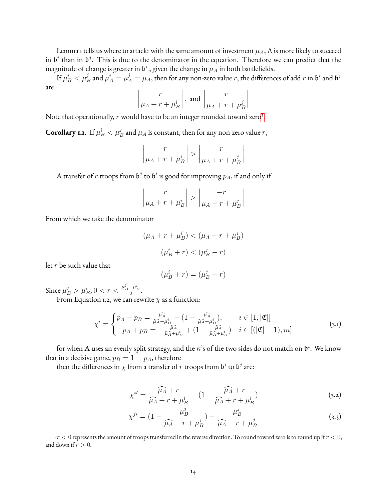Lemma 1 tells us where to attack: with the same amount of investment  $\mu_A,$  A is more likely to succeed in  $\mathfrak{b}^i$  than in  $\mathfrak{b}^j$ . This is due to the denominator in the equation. Therefore we can predict that the magnitude of change is greater in  $\mathfrak{b}^i$  , given the change in  $\mu_A$  in both battlefields.

If  $\mu_B^i<\mu_B^j$  and  $\mu_A^i=\mu_A^j=\mu_A,$  then for any non-zero value  $r,$  the differences of add  $r$  in  $\mathfrak{b}^i$  and  $\mathfrak{b}^j$ are:

$$
\left|\frac{r}{\mu_A + r + \mu_B^i}\right|
$$
, and  $\left|\frac{r}{\mu_A + r + \mu_B^j}\right|$ 

Note that operationally,  $r$  would have to be an integer rounded toward zero<sup>[3](#page-20-0)</sup>.

**Corollary 1.1.** If  $\mu_B^i < \mu_B^j$  and  $\mu_A$  is constant, then for any non-zero value  $r,$ 

$$
\left|\frac{r}{\mu_A + r + \mu_B^i}\right| > \left|\frac{r}{\mu_A + r + \mu_B^j}\right|
$$

A transfer of  $r$  troops from  $\mathfrak{b}^j$  to  $\mathfrak{b}^i$  is good for improving  $p_A$ , if and only if

$$
\left|\frac{r}{\mu_A + r + \mu_B^i}\right| > \left|\frac{-r}{\mu_A - r + \mu_B^j}\right|
$$

From which we take the denominator

$$
(\mu_A + r + \mu_B^i) < (\mu_A - r + \mu_B^j)
$$
\n
$$
(\mu_B^i + r) < (\mu_B^j - r)
$$

let r be such value that

$$
(\mu_B^i + r) = (\mu_B^j - r)
$$

Since  $\mu_B^j > \mu_B^i$ ,  $0 < r < \frac{\mu_B^j - \mu_B^i}{2}$ .

From Equation 1.2, we can rewrite  $\chi$  as a function:

$$
\chi^{i} = \begin{cases} p_A - p_B = \frac{\widehat{\mu}_A}{\widehat{\mu}_A + \mu_B^{i}} - (1 - \frac{\widehat{\mu}_A}{\widehat{\mu}_A + \mu_B^{i}}), & i \in [1, |\mathfrak{C}|] \\ -p_A + p_B = -\frac{\widehat{\mu}_A}{\widehat{\mu}_A + \mu_B^{i}} + (1 - \frac{\widehat{\mu}_A}{\widehat{\mu}_A + \mu_B^{i}}) & i \in [(|\mathfrak{C}| + 1), m] \end{cases}
$$
(3.1)

for when A uses an evenly split strategy, and the  $\kappa$ 's of the two sides do not match on  $\mathfrak{b}^i$ . We know that in a decisive game,  $p_B = 1 - p_A$ , therefore

then the differences in  $\chi$  from a transfer of  $r$  troops from  $\mathfrak{b}^i$  to  $\mathfrak{b}^j$  are:

$$
\chi^{i\prime} = \frac{\widehat{\mu_A} + r}{\widehat{\mu_A} + r + \mu_B^i} - (1 - \frac{\widehat{\mu_A} + r}{\widehat{\mu_A} + r + \mu_B^i})
$$
\n(3.2)

$$
\chi^{j'} = (1 - \frac{\mu_B^j}{\widehat{\mu}_A - r + \mu_B^j}) - \frac{\mu_B^j}{\widehat{\mu}_A - r + \mu_B^j}
$$
(3.3)

<span id="page-20-0"></span> $3r < 0$  represents the amount of troops transferred in the reverse direction. To round toward zero is to round up if  $r < 0,$ and down if  $r > 0$ .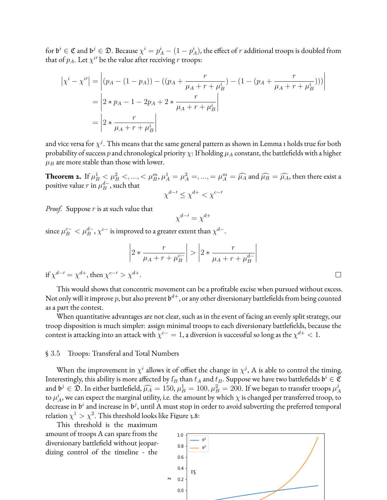for  $\mathfrak{b}^i\in\mathfrak{C}$  and  $\mathfrak{b}^j\in\mathfrak{D}.$  Because  $\chi^i=p_A^i-(1-p_A^i),$  the effect of  $r$  additional troops is doubled from that of  $p_A$ . Let  $\chi^{i\prime}$  be the value after receiving r troops:

$$
\left| \chi^{i} - \chi^{i} \right| = \left| (p_A - (1 - p_A)) - ((p_A + \frac{r}{\mu_A + r + \mu_B^{i}}) - (1 - (p_A + \frac{r}{\mu_A + r + \mu_B^{i}}))) \right|
$$
  
= 
$$
\left| 2 * p_A - 1 - 2p_A + 2 * \frac{r}{\mu_A + r + \mu_B^{i}} \right|
$$
  
= 
$$
\left| 2 * \frac{r}{\mu_A + r + \mu_B^{i}} \right|
$$

and vice versa for  $\chi^j.$  This means that the same general pattern as shown in Lemma 1 holds true for both probability of success p and chronological priority  $\chi$ : If holding  $\mu_A$  constant, the battlefields with a higher  $\mu_B$  are more stable than those with lower.

**Theorem 2.** If  $\mu_B^1 < \mu_B^2 < \ldots < \mu_B^m$ ,  $\mu_A^1 = \mu_A^2 = \ldots = \mu_A^m = \widehat{\mu_A}$  and  $\widehat{\mu_B} = \widehat{\mu_A}$ , then there exist a positive value  $r$  in  $\mu_B^d$ , such that  $\frac{d-}{B}$ , such that  $\chi^{d-t} \leq \chi^{d+} < \chi^{c-t}$ 

*Proof.* Suppose r is at such value that

$$
\chi^{d-\prime} = \chi^{d+}
$$

since  $\mu_B^{c-}<\mu_B^{d-},\chi^{c-}$  is improved to a greater extent than  $\chi^{d-}.$ 

$$
\left| 2 * \frac{r}{\mu_A + r + \mu_B^{c-}} \right| > \left| 2 * \frac{r}{\mu_A + r + \mu_B^{d-}} \right|
$$

if  $\chi^{d-t} = \chi^{d+}$ , then  $\chi^{c-t} > \chi^{d+}$ .

This would shows that concentric movement can be a profitable excise when pursued without excess. Not only will it improve  $p,$  but also prevent  $\mathfrak{b}^{d+},$  or any other diversionary battlefields from being counted as a part the contest.

When quantitative advantages are not clear, such as in the event of facing an evenly split strategy, our troop disposition is much simpler: assign minimal troops to each diversionary battlefields, because the contest is attacking into an attack with  $\chi^{c-}=1$ , a diversion is successful so long as the  $\chi^{d+}< 1.$ 

#### <span id="page-21-0"></span>§ 3.5 Troops: Transferal and Total Numbers

When the improvement in  $\chi^i$  allows it of offset the change in  $\chi^j$ , A is able to control the timing. Interestingly, this ability is more affected by  $f_B$  than  $t_A$  and  $t_B$ . Suppose we have two battlefields  $\mathfrak{b}^i \in \mathfrak{C}$ and  $\mathfrak{b}^j \in \mathfrak{D}$ . In either battlefield,  $\widehat{\mu_A} = 150, \mu_B^1 = 100, \mu_B^2 = 200$ . If we began to transfer troops  $\mu_A^j$ A to  $\mu_A^i$ , we can expect the marginal utility, i.e. the amount by which  $\chi$  is changed per transferred troop, to decrease in  $\mathfrak b^i$  and increase in  $\mathfrak b^j$ , until A must stop in order to avoid subverting the preferred temporal relation  $\chi^1 > \chi^2$ . This threshold looks like Figure 3.8:

This threshold is the maximum amount of troops A can spare from the diversionary battlefield without jeopardizing control of the timeline - the



 $\Box$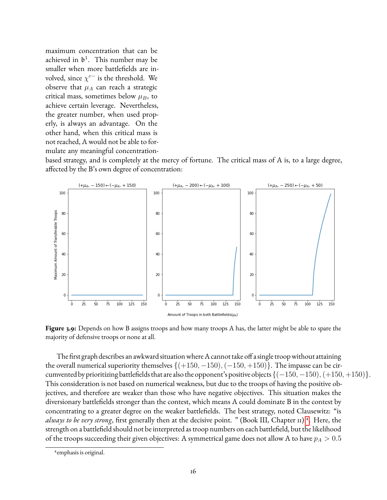maximum concentration that can be achieved in  $\mathfrak{b}^1$ . This number may be smaller when more battlefields are involved, since  $\chi^{c-}$  is the threshold. We observe that  $\mu_A$  can reach a strategic critical mass, sometimes below  $\mu_B$ , to achieve certain leverage. Nevertheless, the greater number, when used properly, is always an advantage. On the other hand, when this critical mass is not reached, A would not be able to formulate any meaningful concentration-

based strategy, and is completely at the mercy of fortune. The critical mass of A is, to a large degree, affected by the B's own degree of concentration:



**Figure 3.9:** Depends on how B assigns troops and how many troops A has, the latter might be able to spare the majority of defensive troops or none at all.

The first graph describes an awkward situation where A cannot take off a single troop without attaining the overall numerical superiority themselves  $\{(+150, -150), (-150, +150)\}$ . The impasse can be circumvented by prioritizing battlefields that are also the opponent's positive objects  $\{(-150, -150), (+150, +150)\}.$ This consideration is not based on numerical weakness, but due to the troops of having the positive objectives, and therefore are weaker than those who have negative objectives. This situation makes the diversionary battlefields stronger than the contest, which means A could dominate B in the contest by concentrating to a greater degree on the weaker battlefields. The best strategy, noted Clausewitz: "is always to be very strong, first generally then at the decisive point. " (Book III, Chapter 11)<sup>[4](#page-22-0)</sup>. Here, the strength on a battlefield should not be interpreted as troop numbers on each battlefield, but the likelihood of the troops succeeding their given objectives: A symmetrical game does not allow A to have  $p_A > 0.5$ 

<span id="page-22-0"></span><sup>4</sup> emphasis is original.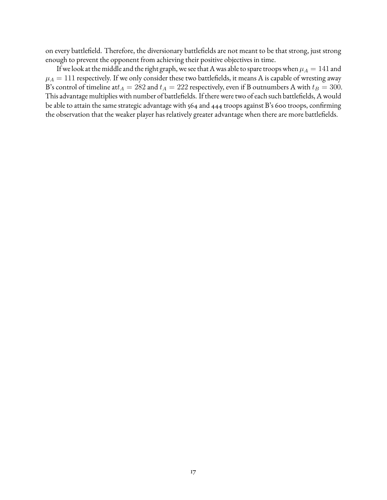on every battlefield. Therefore, the diversionary battlefields are not meant to be that strong, just strong enough to prevent the opponent from achieving their positive objectives in time.

If we look at the middle and the right graph, we see that A was able to spare troops when  $\mu_A = 141$  and  $\mu_A = 111$  respectively. If we only consider these two battlefields, it means A is capable of wresting away B's control of timeline att<sub>A</sub> = 282 and  $t_A = 222$  respectively, even if B outnumbers A with  $t_B = 300$ . This advantage multiplies with number of battlefields. If there were two of each such battlefields, A would be able to attain the same strategic advantage with 564 and 444 troops against B's 600 troops, confirming the observation that the weaker player has relatively greater advantage when there are more battlefields.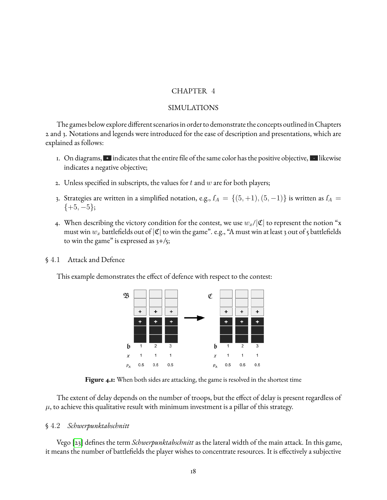#### CHAPTER 4

#### SIMULATIONS

<span id="page-24-0"></span>The games below explore different scenarios in order to demonstrate the concepts outlined in Chapters 2 and 3. Notations and legends were introduced for the ease of description and presentations, which are explained as follows:

- 1. On diagrams,  $\cdot$  indicates that the entire file of the same color has the positive objective,  $\cdot$  likewise indicates a negative objective;
- 2. Unless specified in subscripts, the values for  $t$  and  $w$  are for both players;
- 3. Strategies are written in a simplified notation, e.g.,  $I_A = \{(5, +1), (5, -1)\}$  is written as  $I_A =$  $\{+5, -5\};$
- 4. When describing the victory condition for the contest, we use  $w_x/|\mathfrak{C}|$  to represent the notion "x must win  $w_x$  battlefields out of  $|\mathfrak{C}|$  to win the game". e.g., "A must win at least 3 out of 5 battlefields to win the game" is expressed as  $3+/5$ ;

#### <span id="page-24-1"></span>§ 4.1 Attack and Defence

This example demonstrates the effect of defence with respect to the contest:



**Figure 4.1:** When both sides are attacking, the game is resolved in the shortest time

The extent of delay depends on the number of troops, but the effect of delay is present regardless of  $\mu$ , to achieve this qualitative result with minimum investment is a pillar of this strategy.

#### <span id="page-24-2"></span>§ 4.2 *Schwerpunktabschnitt*

Vego [\[23\]](#page-43-7) defines the term *Schwerpunktabschnitt* as the lateral width of the main attack. In this game, it means the number of battlefields the player wishes to concentrate resources. It is effectively a subjective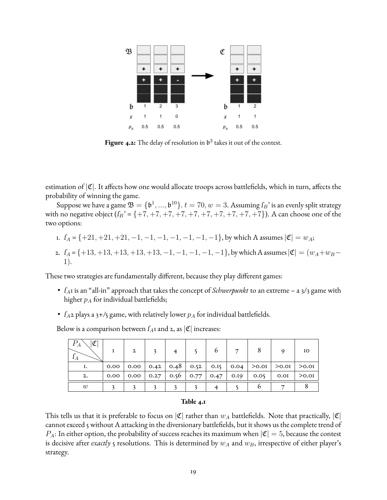

**Figure 4.2:** The delay of resolution in  $\mathfrak{b}^3$  takes it out of the contest.

estimation of  $|\mathfrak{C}|$ . It affects how one would allocate troops across battlefields, which in turn, affects the probability of winning the game.

Suppose we have a game  $\mathfrak{B} = \{ \mathfrak{b}^1, ..., \mathfrak{b}^{10} \}$ .  $t = 70, w = 3$ . Assuming  $f_B$ ' is an evenly split strategy with no negative object  $(f_B' = \{+7, +7, +7, +7, +7, +7, +7, +7, +7, +7\})$ . A can choose one of the two options:

- 1.  $I_A = \{+21, +21, +21, -1, -1, -1, -1, -1, -1\}$ , by which A assumes  $|\mathfrak{C}| = w_A$ ;
- 2.  $I_A = \{+13, +13, +13, +13, +13, -1, -1, -1, -1, -1\}$ , by which A assumes  $|\mathfrak{C}| = (w_A + w_B -$ 1).

These two strategies are fundamentally different, because they play different games:

- $f_{\rm A}$ I is an "all-in" approach that takes the concept of *Schwerpunkt* to an extreme a  $\frac{3}{3}$  game with higher  $p_A$  for individual battlefields;
- $f_A$ 2 plays a 3+/5 game, with relatively lower  $p_A$  for individual battlefields.

Below is a comparison between  $f_A$ I and 2, as  $|\mathfrak{C}|$  increases:

| $ 0\rangle$<br>$\Gamma_A$ | $\mathbf{2}$ |  |  |  |                                                                        |  |
|---------------------------|--------------|--|--|--|------------------------------------------------------------------------|--|
| 1.                        |              |  |  |  | 0.00   0.00   0.42   0.48   0.52   0.15   0.04   >0.01   >0.01   >0.01 |  |
| 2.                        |              |  |  |  | 0.00   0.00   0.27   0.56   0.77   0.47   0.19   0.05   0.01   >0.01   |  |
| W                         |              |  |  |  |                                                                        |  |

#### **Table 4.1**

This tells us that it is preferable to focus on  $|\mathfrak{C}|$  rather than  $w_A$  battlefields. Note that practically,  $|\mathfrak{C}|$ cannot exceed 5 without A attacking in the diversionary battlefields, but it shows us the complete trend of  $P_A$ : In either option, the probability of success reaches its maximum when  $|\mathfrak{C}|=5$ , because the contest is decisive after *exactly*  $\zeta$  resolutions. This is determined by  $w_A$  and  $w_B$ , irrespective of either player's strategy.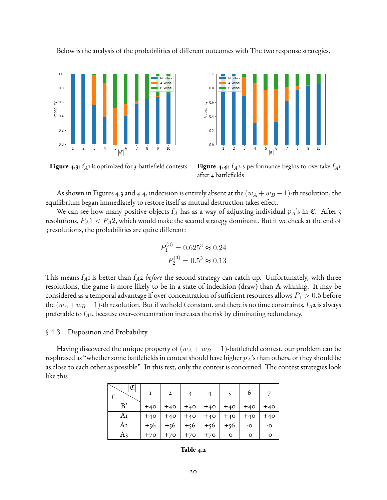

 $1($ Neither A Wins  $0.8$ **B** Wins Probability<br>0.4  $02$  $0.0$  $|\mathfrak{C}|$ 

**Figure 4.3:**  $f_A$ 1 is optimized for 3-battlefield contests **Figure 4.4:**  $f_A$ 2's performance begins to overtake  $f_A$ 1 after 4 battlefields

As shown in Figures 4.3 and 4.4, indecision is entirely absent at the  $(w_A + w_B - 1)$ -th resolution, the equilibrium began immediately to restore itself as mutual destruction takes effect.

We can see how many positive objects  $I_A$  has as a way of adjusting individual  $p_A$ 's in C. After 5 resolutions,  $P_A 1 < P_A 2$ , which would make the second strategy dominant. But if we check at the end of 3 resolutions, the probabilities are quite different:

$$
P_1^{(3)} = 0.625^3 \approx 0.24
$$
  

$$
P_2^{(3)} = 0.5^3 \approx 0.13
$$

P

This means  $f_{A}$ I is better than  $f_{A}$ 2 *before* the second strategy can catch up. Unfortunately, with three resolutions, the game is more likely to be in a state of indecision (draw) than A winning. It may be considered as a temporal advantage if over-concentration of sufficient resources allows  $P_1 > 0.5$  before the ( $w_A + w_B - 1$ )-th resolution. But if we hold t constant, and there is no time constraints,  $f_A$ 2 is always preferable to  $f_{A}$ , because over-concentration increases the risk by eliminating redundancy.

#### <span id="page-26-0"></span>§ 4.3 Disposition and Probability

Having discovered the unique property of  $(w_A + w_B - 1)$ -battlefield contest, our problem can be re-phrased as "whether some battlefields in contest should have higher  $p_A$ 's than others, or they should be as close to each other as possible". In this test, only the contest is concerned. The contest strategies look like this

|    | $\mathbf{I}$ | $\mathbf{2}$ |       |       |       | 6     |       |
|----|--------------|--------------|-------|-------|-------|-------|-------|
| B' | $+40$        | $+40$        | $+40$ | $+40$ | $+40$ | $+40$ | $+40$ |
| Aī | $+40$        | $+40$        | $+40$ | $+40$ | $+40$ | $+40$ | $+40$ |
| A2 | $+56$        | $+56$        | $+56$ | $+56$ | $+56$ | -0    | -0    |
| A3 | $+70$        | $+70$        | $+70$ | $+70$ | -0    | -0    | -0    |

**Table 4.2**

Below is the analysis of the probabilities of different outcomes with The two response strategies.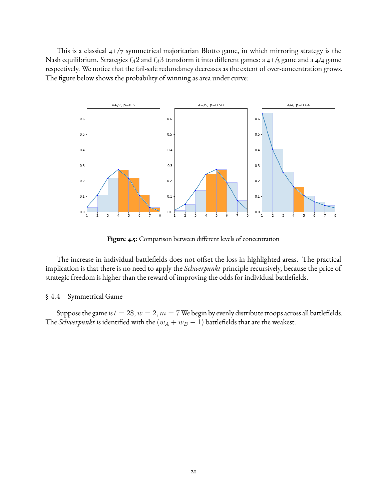This is a classical 4+/7 symmetrical majoritarian Blotto game, in which mirroring strategy is the Nash equilibrium. Strategies  $f_A2$  and  $f_A3$  transform it into different games: a 4+/5 game and a 4/4 game respectively. We notice that the fail-safe redundancy decreases as the extent of over-concentration grows. The figure below shows the probability of winning as area under curve:



Figure 4.5: Comparison between different levels of concentration

The increase in individual battlefields does not offset the loss in highlighted areas. The practical implication is that there is no need to apply the *Schwerpunkt* principle recursively, because the price of strategic freedom is higher than the reward of improving the odds for individual battlefields.

#### <span id="page-27-0"></span>§ 4.4 Symmetrical Game

Suppose the game is  $t = 28$ ,  $w = 2$ ,  $m = 7$  We begin by evenly distribute troops across all battlefields. The *Schwerpunkt* is identified with the  $(w_A + w_B - 1)$  battlefields that are the weakest.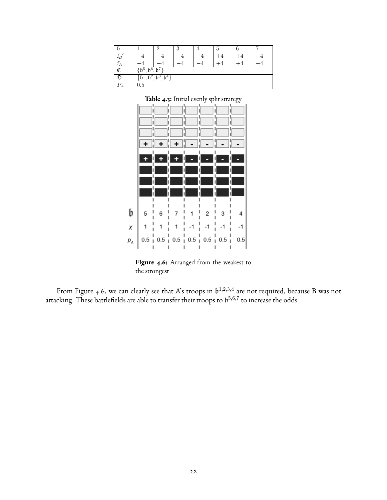|        |                                           |                  | ິ<br>J |  | Ð |  |  |  |  |  |
|--------|-------------------------------------------|------------------|--------|--|---|--|--|--|--|--|
| $1_B$  |                                           |                  |        |  |   |  |  |  |  |  |
|        |                                           |                  |        |  |   |  |  |  |  |  |
| σ      | $\mathfrak{b}^6$<br>ք հ                   | $\mathfrak{b}^7$ |        |  |   |  |  |  |  |  |
| ᠵ      | $\mathfrak{b}^3$<br>$\mathfrak{b}^4$<br>b |                  |        |  |   |  |  |  |  |  |
| ת<br>Ά | 0.5                                       |                  |        |  |   |  |  |  |  |  |

**Table 4.3:** Initial evenly split strategy



Figure 4.6: Arranged from the weakest to the strongest

From Figure 4.6, we can clearly see that A's troops in  $\mathfrak{b}^{1,2,3,4}$  are not required, because B was not attacking. These battlefields are able to transfer their troops to  $\mathfrak{b}^{5,6,7}$  to increase the odds.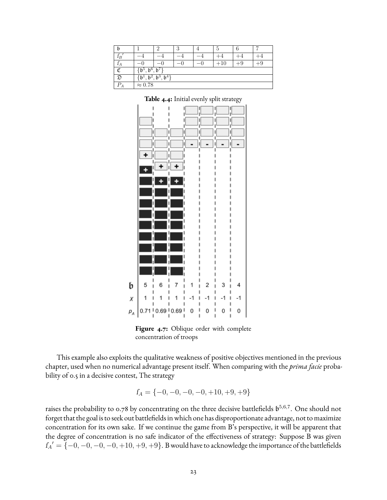| b                          |                                        | ↶                     | 3 |  | Ð |  |  |  |  |  |
|----------------------------|----------------------------------------|-----------------------|---|--|---|--|--|--|--|--|
| $_{\scriptscriptstyle IB}$ |                                        |                       |   |  |   |  |  |  |  |  |
| А                          |                                        | $+$ y<br>$-\cup$<br>_ |   |  |   |  |  |  |  |  |
| σ                          | b <sup>6</sup><br>$b^5$                | $b^7$                 |   |  |   |  |  |  |  |  |
| ന                          | $\mathfrak{b}^{4}$<br>$\mathfrak{b}^3$ |                       |   |  |   |  |  |  |  |  |
| D<br>Ά                     | $\approx 0.78$                         |                       |   |  |   |  |  |  |  |  |



**Table 4.4:** Initial evenly split strategy

**Figure 4.7:** Oblique order with complete concentration of troops

b

This example also exploits the qualitative weakness of positive objectives mentioned in the previous chapter, used when no numerical advantage present itself. When comparing with the *prima facie* probability of 0.5 in a decisive contest, The strategy

$$
f_A = \{-0, -0, -0, -0, +10, +9, +9\}
$$

raises the probability to 0.78 by concentrating on the three decisive battlefields  $\mathfrak{b}^{5,6,7}.$  One should not forget that the goal is to seek out battlefields in which one has disproportionate advantage, not to maximize concentration for its own sake. If we continue the game from B's perspective, it will be apparent that the degree of concentration is no safe indicator of the effectiveness of strategy: Suppose B was given  $I_A' = \{-0, -0, -0, -0, +10, +9, +9\}$ . B would have to acknowledge the importance of the battlefields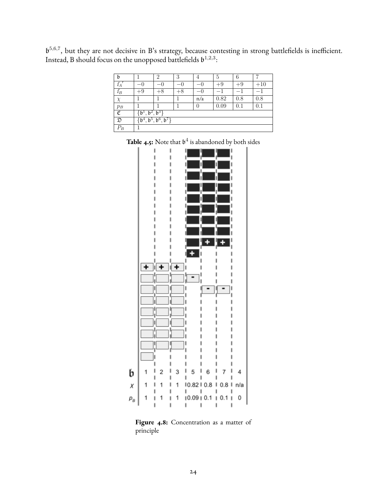$\mathfrak{b}^{5,6,7}$ , but they are not decisive in B's strategy, because contesting in strong battlefields is inefficient. Instead, B should focus on the unopposed battlefields  $\mathfrak{b}^{1,2,3}$ :

| b              |                                                                                                 | $\overline{2}$            | 3   | 4     | 5    | 6    |       |  |  |  |  |
|----------------|-------------------------------------------------------------------------------------------------|---------------------------|-----|-------|------|------|-------|--|--|--|--|
| $f_A$          | - 1                                                                                             | — ( )                     | — U | $-()$ | $+9$ | $+9$ | $+10$ |  |  |  |  |
| $f_B$          | $+9$                                                                                            | $+8$<br>$^{+8}$<br>— ( )  |     |       |      |      |       |  |  |  |  |
| X              |                                                                                                 | 0.82<br>0.8<br>0.8<br>n/a |     |       |      |      |       |  |  |  |  |
| $p_B$          |                                                                                                 | 0.09<br>0.1<br>0.1<br>0   |     |       |      |      |       |  |  |  |  |
| ¢              | $\mathfrak{b}^3$<br>$\sqrt{b^2}$<br>$\mathfrak{b}^{\scriptscriptstyle{\perp}}$                  |                           |     |       |      |      |       |  |  |  |  |
| $\mathfrak{D}$ | $\overline{\mathfrak{b}^6}$<br>, 6 <sup>7</sup><br>$, \bar{\mathfrak{b}}^5$<br>$\mathfrak{b}^4$ |                           |     |       |      |      |       |  |  |  |  |
| $P_B$          |                                                                                                 |                           |     |       |      |      |       |  |  |  |  |

**Table 4.5:** Note that  $\mathfrak{b}^4$  is abandoned by both sides



Figure 4.8: Concentration as a matter of principle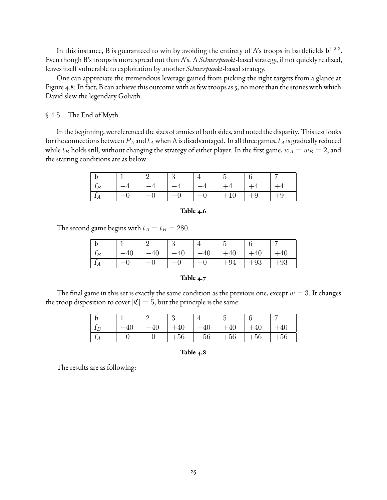In this instance, B is guaranteed to win by avoiding the entirety of A's troops in battlefields  $\mathfrak{b}^{1,2,3}$ . Even though B's troops is more spread out than A's. A *Schwerpunkt*-based strategy, if not quickly realized, leaves itself vulnerable to exploitation by another *Schwerpunkt*-based strategy.

One can appreciate the tremendous leverage gained from picking the right targets from a glance at Figure 4.8: In fact, B can achieve this outcome with as few troops as 5, no more than the stones with which David slew the legendary Goliath.

#### <span id="page-31-0"></span>§ 4.5 The End of Myth

In the beginning, we referenced the sizes of armies of both sides, and noted the disparity. This test looks for the connections between  $P_A$  and  $t_A$  when A is disadvantaged. In all three games,  $t_A$  is gradually reduced while  $t_B$  holds still, without changing the strategy of either player. In the first game,  $w_A = w_B = 2$ , and the starting conditions are as below:

|  |      | $\perp$ 3 |      |  |      |
|--|------|-----------|------|--|------|
|  | $-4$ |           | $-4$ |  |      |
|  |      |           |      |  | ⊢ +ນ |

#### **Table 4.6**

The second game begins with  $t_A = t_B = 280$ .

|           |      | . റ |      |       |       |     |
|-----------|------|-----|------|-------|-------|-----|
|           |      |     | ⊥∪   |       |       |     |
| $\lambda$ | $-0$ |     | $-0$ | $+94$ | $+93$ | -90 |

#### **Table 4.7**

The final game in this set is exactly the same condition as the previous one, except  $w=3.$  It changes the troop disposition to cover  $|\mathfrak{C}| = 5$ , but the principle is the same:

|                |           | ິ     |       | ∽     |       |       |
|----------------|-----------|-------|-------|-------|-------|-------|
| $\epsilon$     | -40       |       | $-40$ |       |       |       |
| $\overline{ }$ | $-\Gamma$ | $+56$ | $+56$ | $+56$ | $+56$ | $+56$ |

**Table 4.8**

The results are as following: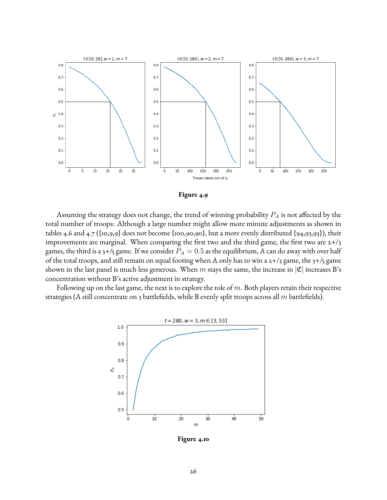

**Figure 4.9**

Assuming the strategy does not change, the trend of winning probability  $P_A$  is not affected by the total number of troops: Although a large number might allow more minute adjustments as shown in tables 4.6 and 4.7 ({10,9,9} does not become {100,90,90}, but a more evenly distributed {94,93,93}), their improvements are marginal. When comparing the first two and the third game, the first two are  $2+/3$ games, the third is a 3+/5 game. If we consider  $P_A = 0.5$  as the equilibrium, A can do away with over half of the total troops, and still remain on equal footing when A only has to win a 2+/3 game, the 3+/5 game shown in the last panel is much less generous. When m stays the same, the increase in  $|\mathfrak{C}|$  increases B's concentration without B's active adjustment in strategy.

Following up on the last game, the next is to explore the role of  $m$ . Both players retain their respective strategies (A still concentrate on 3 battlefields, while B evenly split troops across all  $m$  battlefields).



**Figure 4.10**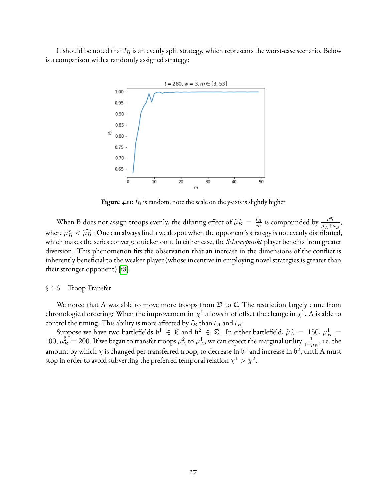It should be noted that  $f_B$  is an evenly split strategy, which represents the worst-case scenario. Below is a comparison with a randomly assigned strategy:



**Figure 4.11:**  $f_B$  is random, note the scale on the y-axis is slightly higher

When B does not assign troops evenly, the diluting effect of  $\widehat{\mu}_B = \frac{t_B}{m}$  $\frac{t_B}{m}$  is compounded by  $\frac{\mu_A^x}{\mu_A^x + \mu_B^x}$ , where  $\mu_B^x < \widehat{\mu_B}$  : One can always find a weak spot when the opponent's strategy is not evenly distributed,<br>which makes the series converse quicker on J. In either case, the Schwertuckt player benefits from greater. which makes the series converge quicker on 1. In either case, the *Schwerpunkt* player benefits from greater diversion. This phenomenon fits the observation that an increase in the dimensions of the conflict is inherently beneficial to the weaker player (whose incentive in employing novel strategies is greater than their stronger opponent) [\[18\]](#page-43-8).

#### <span id="page-33-0"></span>§ 4.6 Troop Transfer

We noted that A was able to move more troops from  $\mathfrak D$  to  ${\mathfrak C},$  The restriction largely came from chronological ordering: When the improvement in  $\chi^1$  allows it of offset the change in  $\chi^2$ , A is able to control the timing. This ability is more affected by  $f_B$  than  $t_A$  and  $t_B$ :

Suppose we have two battlefields  $\mathfrak{b}^1 \in \mathfrak{C}$  and  $\mathfrak{b}^2 \in \mathfrak{D}$ . In either battlefield,  $\widehat{\mu}_A = 150$ ,  $\mu_B^1 =$ <br> $\mu_A^2 = 200$ . If we heap to transfer troops  $\mu_A^2$  to  $\mu_A^1$ , we can expect the marginal ut  $100, \mu_B^2 = 200$ . If we began to transfer troops  $\mu_A^2$  to  $\mu_A^1$ , we can expect the marginal utility  $\frac{1}{1+\mu_B}$ , i.e. the amount by which  $\chi$  is changed per transferred troop, to decrease in  $\mathfrak{b}^1$  and increase in  $\mathfrak{b}^2,$  until A must stop in order to avoid subverting the preferred temporal relation  $\chi^1 > \chi^2$ .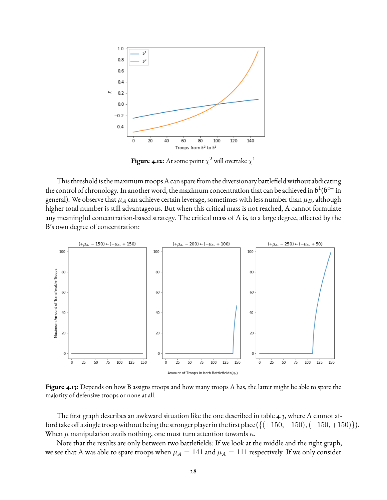

**Figure 4.12:** At some point  $\chi^2$  will overtake  $\chi^1$ 

This threshold is the maximum troops A can spare from the diversionary battlefield without abdicating the control of chronology. In another word, the maximum concentration that can be achieved in  $\mathfrak{b}^1(\mathfrak{b}^{c-}$  in general). We observe that  $\mu_A$  can achieve certain leverage, sometimes with less number than  $\mu_B$ , although higher total number is still advantageous. But when this critical mass is not reached, A cannot formulate any meaningful concentration-based strategy. The critical mass of A is, to a large degree, affected by the B's own degree of concentration:



**Figure 4.13:** Depends on how B assigns troops and how many troops A has, the latter might be able to spare the majority of defensive troops or none at all.

The first graph describes an awkward situation like the one described in table 4.3, where A cannot afford take off a single troop without being the stronger player in the first place ( $\{(+150, -150), (-150, +150)\}$ ). When  $\mu$  manipulation avails nothing, one must turn attention towards  $\kappa$ .

Note that the results are only between two battlefields: If we look at the middle and the right graph, we see that A was able to spare troops when  $\mu_A = 141$  and  $\mu_A = 111$  respectively. If we only consider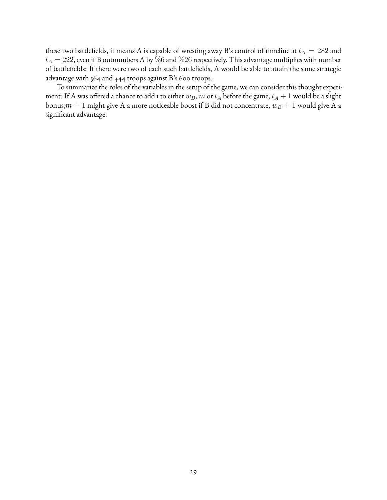these two battlefields, it means A is capable of wresting away B's control of timeline at  $t_A = 282$  and  $t_A = 222$ , even if B outnumbers A by  $\bar{\%}6$  and  $\%26$  respectively. This advantage multiplies with number of battlefields: If there were two of each such battlefields, A would be able to attain the same strategic advantage with 564 and 444 troops against B's 600 troops.

To summarize the roles of the variables in the setup of the game, we can consider this thought experiment: If A was offered a chance to add 1 to either  $w_B$ , m or  $t_A$  before the game,  $t_A + 1$  would be a slight bonus, $m + 1$  might give A a more noticeable boost if B did not concentrate,  $w_B + 1$  would give A a significant advantage.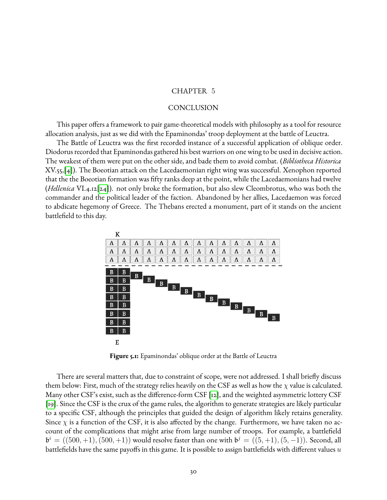#### CHAPTER 5

#### CONCLUSION

<span id="page-36-0"></span>This paper offers a framework to pair game-theoretical models with philosophy as a tool for resource allocation analysis, just as we did with the Epaminondas' troop deployment at the battle of Leuctra.

The Battle of Leuctra was the first recorded instance of a successful application of oblique order. Diodorus recorded that Epaminondas gathered his best warriors on one wing to be used in decisive action. The weakest of them were put on the other side, and bade them to avoid combat. (*Bibliotheca Historica* XV.55,[\[4\]](#page-42-9)). The Boeotian attack on the Lacedaemonian right wing was successful. Xenophon reported that the the Boeotian formation was fifty ranks deep at the point, while the Lacedaemonians had twelve (*Hellenica* VI.4.12[\[24\]](#page-43-9)). not only broke the formation, but also slew Cleombrotus, who was both the commander and the political leader of the faction. Abandoned by her allies, Lacedaemon was forced to abdicate hegemony of Greece. The Thebans erected a monument, part of it stands on the ancient battlefield to this day.



**Figure 5.1:** Epaminondas' oblique order at the Battle of Leuctra

There are several matters that, due to constraint of scope, were not addressed. I shall briefly discuss them below: First, much of the strategy relies heavily on the CSF as well as how the  $\chi$  value is calculated. Many other CSF's exist, such as the difference-form CSF [\[12\]](#page-42-10), and the weighted asymmetric lottery CSF [\[19\]](#page-43-10). Since the CSF is the crux of the game rules, the algorithm to generate strategies are likely particular to a specific CSF, although the principles that guided the design of algorithm likely retains generality. Since  $\chi$  is a function of the CSF, it is also affected by the change. Furthermore, we have taken no account of the complications that might arise from large number of troops. For example, a battlefield  $\mathfrak{b}^i = ((500, +1), (500, +1))$  would resolve faster than one with  $\mathfrak{b}^j = ((5, +1), (5, -1))$ . Second, all battlefields have the same payoffs in this game. It is possible to assign battlefields with different values  $u$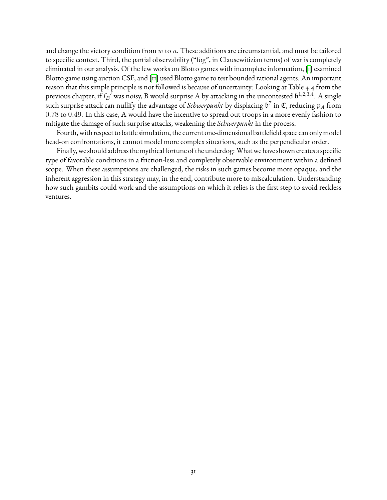and change the victory condition from  $w$  to  $u$ . These additions are circumstantial, and must be tailored to specific context. Third, the partial observability ("fog", in Clausewitizian terms) of war is completely eliminated in our analysis. Of the few works on Blotto games with incomplete information, [\[1\]](#page-42-11) examined Blotto game using auction CSF, and [\[11\]](#page-42-12) used Blotto game to test bounded rational agents. An important reason that this simple principle is not followed is because of uncertainty: Looking at Table 4.4 from the previous chapter, if  $I_B$ <sup>f</sup> was noisy, B would surprise A by attacking in the uncontested  $\mathfrak{b}^{1,2,3,4}$ . A single such surprise attack can nullify the advantage of *Schwerpunkt* by displacing  $\mathfrak{b}^7$  in  $\mathfrak{C}$ , reducing  $p_A$  from 0.78 to 0.49. In this case, A would have the incentive to spread out troops in a more evenly fashion to mitigate the damage of such surprise attacks, weakening the *Schwerpunkt* in the process.

Fourth, with respect to battle simulation, the current one-dimensional battlefield space can only model head-on confrontations, it cannot model more complex situations, such as the perpendicular order.

Finally, we should address the mythical fortune of the underdog: What we have shown creates a specific type of favorable conditions in a friction-less and completely observable environment within a defined scope. When these assumptions are challenged, the risks in such games become more opaque, and the inherent aggression in this strategy may, in the end, contribute more to miscalculation. Understanding how such gambits could work and the assumptions on which it relies is the first step to avoid reckless ventures.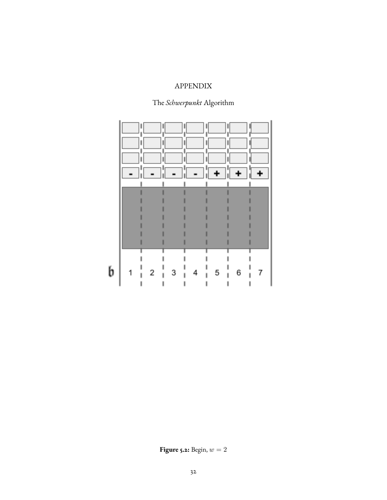## APPENDIX

## The *Schwerpunkt* Algorithm

<span id="page-38-0"></span>

**Figure 5.2:** Begin,  $w = 2$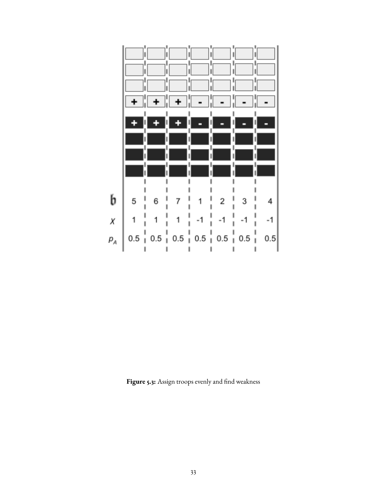

Figure 5.3: Assign troops evenly and find weakness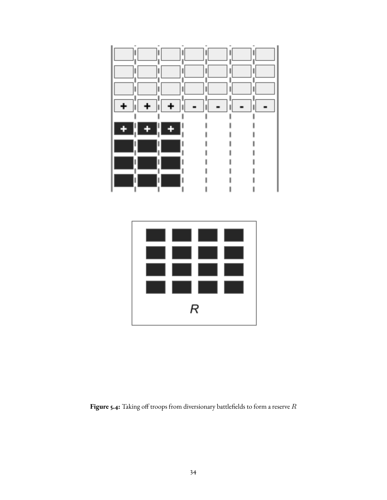



Figure 5.4: Taking off troops from diversionary battlefields to form a reserve R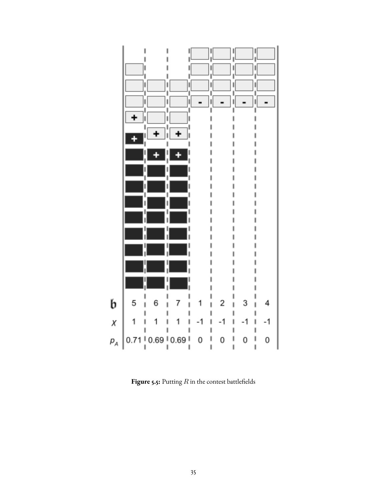<span id="page-41-0"></span>

**Figure 5.5:** Putting  $R$  in the contest battlefields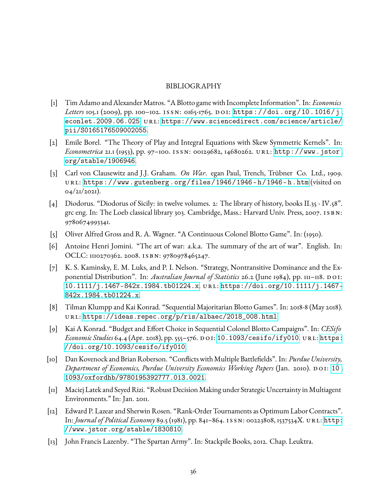#### BIBLIOGRAPHY

- <span id="page-42-11"></span>[1] Tim Adamo and Alexander Matros. "A Blotto game with Incomplete Information". In: *Economics* Letters 105.1 (2009), pp. 100-102. ISSN: 0165-1765. DOI: [https://doi.org/10.1016/j.](https://doi.org/https://doi.org/10.1016/j.econlet.2009.06.025) [econlet.2009.06.025](https://doi.org/https://doi.org/10.1016/j.econlet.2009.06.025). url: [https://www.sciencedirect.com/science/article/](https://www.sciencedirect.com/science/article/pii/S0165176509002055) [pii/S0165176509002055](https://www.sciencedirect.com/science/article/pii/S0165176509002055).
- <span id="page-42-2"></span>[2] Emile Borel. "The Theory of Play and Integral Equations with Skew Symmetric Kernels". In: *Econometrica* 21.1 (1953), pp. 97–100. issn: 00129682, 14680262. url: [http://www.jstor.](http://www.jstor.org/stable/1906946) [org/stable/1906946](http://www.jstor.org/stable/1906946).
- <span id="page-42-6"></span>[3] Carl von Clausewitz and J.J. Graham. *On War*. egan Paul, Trench, Trübner Co. Ltd., 1909. url: https://www.gutenberg.org/files/1946/1946-h/1946-h.htm (visited on 04/21/2021).
- <span id="page-42-9"></span>[4] Diodorus. "Diodorus of Sicily: in twelve volumes. 2: The library of history, books II.35 - IV.58". grc eng. In: The Loeb classical library 303. Cambridge, Mass.: Harvard Univ. Press, 2007. ISBN: 9780674993341.
- <span id="page-42-3"></span>[5] Oliver Alfred Gross and R. A. Wagner. "A Continuous Colonel Blotto Game". In: (1950).
- <span id="page-42-7"></span>[6] Antoine Henri Jomini. "The art of war: a.k.a. The summary of the art of war". English. In: OCLC: 1110270362. 2008. ISBN: 9780978465247.
- <span id="page-42-4"></span>[7] K. S. Kaminsky, E. M. Luks, and P. I. Nelson. "Strategy, Nontransitive Dominance and the Exponential Distribution". In: *Australian Journal of Statistics* 26.2 (June 1984), pp. 111-118. DOI: [10.1111/j.1467-842x.1984.tb01224.x](https://doi.org/10.1111/j.1467-842x.1984.tb01224.x). url: [https://doi.org/10.1111/j.1467-](https://doi.org/10.1111/j.1467-842x.1984.tb01224.x) [842x.1984.tb01224.x](https://doi.org/10.1111/j.1467-842x.1984.tb01224.x).
- <span id="page-42-8"></span>[8] Tilman Klumpp and Kai Konrad. "Sequential Majoritarian Blotto Games". In: 2018-8 (May 2018). url: [https://ideas.repec.org/p/ris/albaec/2018\\_008.html](https://ideas.repec.org/p/ris/albaec/2018_008.html).
- <span id="page-42-1"></span>[9] Kai A Konrad. "Budget and Effort Choice in Sequential Colonel Blotto Campaigns". In: *CESifo Economic Studies* 64.4 (Apr. 2018), pp. 555–576. do i: [10.1093/cesifo/ify010](https://doi.org/10.1093/cesifo/ify010). url: [https:](https://doi.org/10.1093/cesifo/ify010) [//doi.org/10.1093/cesifo/ify010](https://doi.org/10.1093/cesifo/ify010).
- <span id="page-42-5"></span>[10] Dan Kovenock and Brian Roberson. "Conflicts with Multiple Battlefields". In: *Purdue University*, *Department of Economics, Purdue University Economics Working Papers* (Jan. 2010). DOI: 10. [1093/oxfordhb/9780195392777.013.0021](https://doi.org/10.1093/oxfordhb/9780195392777.013.0021).
- <span id="page-42-12"></span>[11] Maciej Latek and Seyed Rizi. "Robust Decision Making under Strategic Uncertainty in Multiagent Environments." In: Jan. 2011.
- <span id="page-42-10"></span>[12] Edward P. Lazear and Sherwin Rosen. "Rank-Order Tournaments as Optimum Labor Contracts". In: *Journal of Political Economy* 89.5 (1981), pp. 841-864. ISSN: 00223808, 1537534X. URL: [http:](http://www.jstor.org/stable/1830810) [//www.jstor.org/stable/1830810](http://www.jstor.org/stable/1830810).
- <span id="page-42-0"></span>[13] John Francis Lazenby. "The Spartan Army". In: Stackpile Books, 2012. Chap. Leuktra.